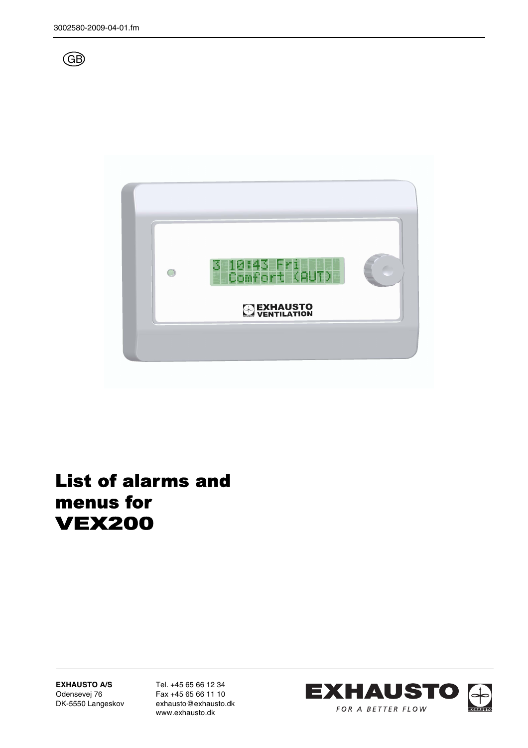



# List of alarms and menus for VEX200

**EXHAUSTO A/S** Odensevej 76 DK-5550 Langeskov Tel. +45 65 66 12 34 Fax +45 65 66 11 10 exhausto@exhausto.dk www.exhausto.dk

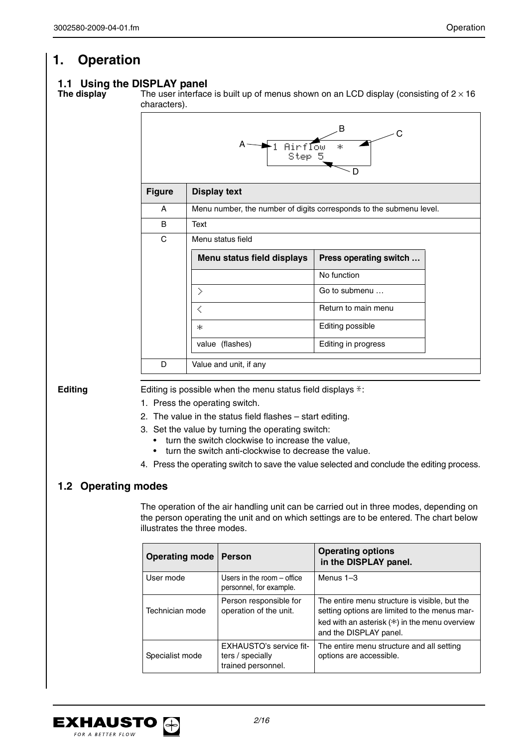# **1. Operation**

# **1.1 Using the DISPLAY panel<br>The display** The user interface

The user interface is built up of menus shown on an LCD display (consisting of  $2 \times 16$ ) characters).

|               | A -<br>1 Airflow<br>Step 5 | В<br>C<br>43<br>D                                                   |
|---------------|----------------------------|---------------------------------------------------------------------|
| <b>Figure</b> | <b>Display text</b>        |                                                                     |
| A             |                            | Menu number, the number of digits corresponds to the submenu level. |
| B             | Text                       |                                                                     |
| C             | Menu status field          |                                                                     |
|               | Menu status field displays | Press operating switch                                              |
|               |                            | No function                                                         |
|               | Σ                          | Go to submenu                                                       |
|               | ₹                          | Return to main menu                                                 |
|               | И.,                        | Editing possible                                                    |
|               | value (flashes)            | Editing in progress                                                 |
| D             | Value and unit, if any     |                                                                     |

**Editing** Editing is possible when the menu status field displays  $*$ :

- 1. Press the operating switch.
- 2. The value in the status field flashes start editing.
- 3. Set the value by turning the operating switch:
	- turn the switch clockwise to increase the value,
	- turn the switch anti-clockwise to decrease the value.
- 4. Press the operating switch to save the value selected and conclude the editing process.

### **1.2 Operating modes**

The operation of the air handling unit can be carried out in three modes, depending on the person operating the unit and on which settings are to be entered. The chart below illustrates the three modes.

| <b>Operating mode</b> | <b>Person</b>                                                     | <b>Operating options</b><br>in the DISPLAY panel.                                                                                                                         |
|-----------------------|-------------------------------------------------------------------|---------------------------------------------------------------------------------------------------------------------------------------------------------------------------|
| User mode             | Users in the room – office<br>personnel, for example.             | Menus $1-3$                                                                                                                                                               |
| Technician mode       | Person responsible for<br>operation of the unit.                  | The entire menu structure is visible, but the<br>setting options are limited to the menus mar-<br>ked with an asterisk (*) in the menu overview<br>and the DISPLAY panel. |
| Specialist mode       | EXHAUSTO's service fit-<br>ters / specially<br>trained personnel. | The entire menu structure and all setting<br>options are accessible.                                                                                                      |

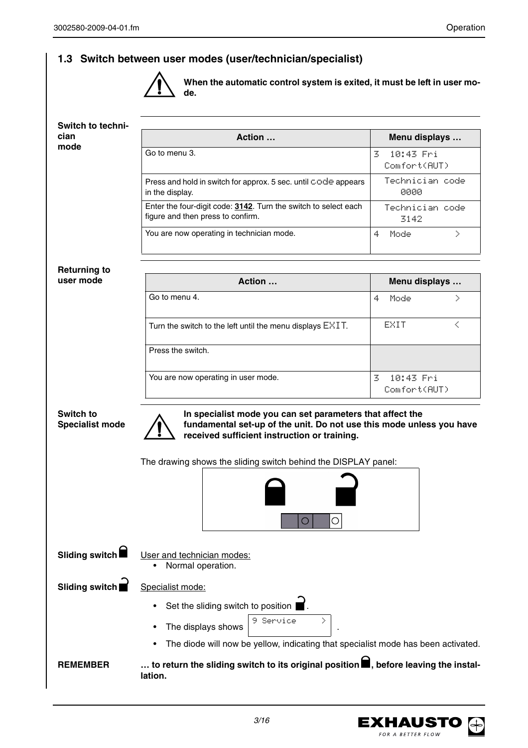## **1.3 Switch between user modes (user/technician/specialist)**



**When the automatic control system is exited, it must be left in user mode.**

| Switch to techni-                   |                                                                                                                                                                                   |                                |
|-------------------------------------|-----------------------------------------------------------------------------------------------------------------------------------------------------------------------------------|--------------------------------|
| cian                                | Action                                                                                                                                                                            | Menu displays                  |
| mode                                | Go to menu 3.                                                                                                                                                                     | 3<br>10:43 Fri<br>Comfort(AUT) |
|                                     | Press and hold in switch for approx. 5 sec. until code appears<br>in the display.                                                                                                 | Technician code<br>0000        |
|                                     | Enter the four-digit code: 3142. Turn the switch to select each<br>figure and then press to confirm.                                                                              | Technician code<br>3142        |
|                                     | You are now operating in technician mode.                                                                                                                                         | 4<br>Σ<br>Mode                 |
| <b>Returning to</b>                 |                                                                                                                                                                                   |                                |
| user mode                           | Action                                                                                                                                                                            | Menu displays                  |
|                                     | Go to menu 4.                                                                                                                                                                     | 4<br>Σ<br>Mode                 |
|                                     | Turn the switch to the left until the menu displays $E\angle I$ T.                                                                                                                | EXIT<br>≺                      |
|                                     | Press the switch.                                                                                                                                                                 |                                |
|                                     | You are now operating in user mode.                                                                                                                                               | 3<br>10:43 Fri<br>Comfort(AUT) |
| Switch to<br><b>Specialist mode</b> | In specialist mode you can set parameters that affect the<br>fundamental set-up of the unit. Do not use this mode unless you have<br>received sufficient instruction or training. |                                |
|                                     | The drawing shows the sliding switch behind the DISPLAY panel:                                                                                                                    |                                |
|                                     | $\bigcirc$<br>O                                                                                                                                                                   |                                |
| Sliding switch                      | User and technician modes:<br>Normal operation.                                                                                                                                   |                                |
| Sliding switch                      | Specialist mode:                                                                                                                                                                  |                                |
|                                     | Set the sliding switch to position                                                                                                                                                |                                |
|                                     | 9 Service<br>X<br>The displays shows                                                                                                                                              |                                |
|                                     | The diode will now be yellow, indicating that specialist mode has been activated.                                                                                                 |                                |
| <b>REMEMBER</b>                     | to return the sliding switch to its original position $\blacksquare$ , before leaving the instal-<br>lation.                                                                      |                                |

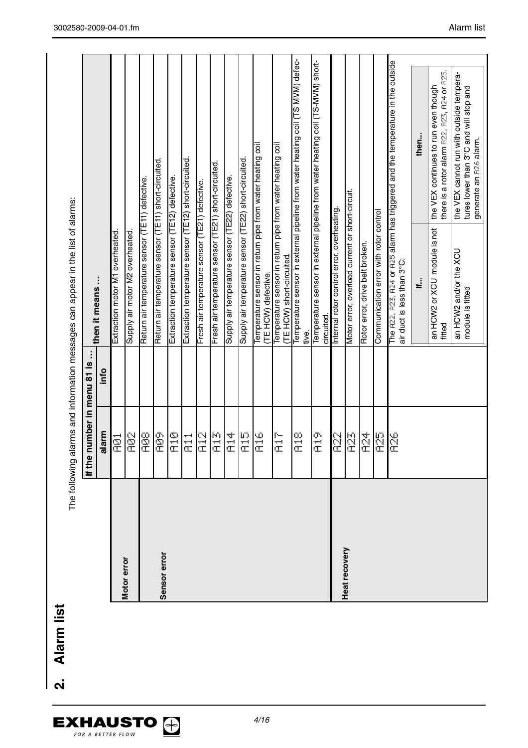|               |                                |      | The following alarms and information messages can appear in the list of alarms:        |                                                                                                              |
|---------------|--------------------------------|------|----------------------------------------------------------------------------------------|--------------------------------------------------------------------------------------------------------------|
|               | number in menu 81 is<br>If the | î,   | then it means                                                                          |                                                                                                              |
|               | alarm                          | lnfo |                                                                                        |                                                                                                              |
|               | ē                              |      | Extraction motor M1 overheated                                                         |                                                                                                              |
| Motor error   | Septembre 2014                 |      | Supply air motor M2 overheated                                                         |                                                                                                              |
|               | go<br>E                        |      | Return air temperature sensor (TE11) defective.                                        |                                                                                                              |
| Sensor error  | eg<br>E                        |      | Return air temperature sensor (TE11) short-circuited                                   |                                                                                                              |
|               | 四元                             |      | Extraction temperature sensor (TE12) defective.                                        |                                                                                                              |
|               | ti<br>al                       |      | Extraction temperature sensor (TE12) short-circuited                                   |                                                                                                              |
|               | 인<br>군                         |      | Fresh air temperature sensor (TE21) defective.                                         |                                                                                                              |
|               | R13                            |      | Fresh air temperature sensor (TE21) short-circuited                                    |                                                                                                              |
|               | a<br>E                         |      | Supply air temperature sensor (TE22) defective.                                        |                                                                                                              |
|               | 四元                             |      | Supply air temperature sensor (TE22) short-circuited                                   |                                                                                                              |
|               | Ω<br>Σ                         |      | Temperature sensor in return pipe from water heating coil<br>(TE HCW) defective.       |                                                                                                              |
|               | 行证                             |      | Temperature sensor in return pipe from water heating coil<br>(TE HCW) short-circuited. |                                                                                                              |
|               | $\frac{\infty}{\infty}$        |      | tive.                                                                                  | Temperature sensor in external pipeline from water heating coil (TS MVM) defec-                              |
|               | en<br>E                        |      | circuited.                                                                             | Temperature sensor in external pipeline from water heating coil (TS-MVM) short-                              |
|               | <b>R2</b>                      |      | Internal rotor control error, overheating.                                             |                                                                                                              |
| Heat recovery | R <sub>23</sub>                |      | Motor error, overload current or short-circuit.                                        |                                                                                                              |
|               | $\overline{R}$                 |      | Rotor error, drive belt broken.                                                        |                                                                                                              |
|               | မ္မ                            |      | Communication error with rotor control                                                 |                                                                                                              |
|               | နို့                           |      | air duct is less than 3°C:                                                             | The R22, R23, R24 or R25 alarm has triggered and the temperature in the outside                              |
|               |                                |      | ٺ                                                                                      | then                                                                                                         |
|               |                                |      | an HCW2 or XCU module is not<br>fitted                                                 | there is a rotor alarm A22, A23, A24 or A25.<br>the VEX continues to run even though                         |
|               |                                |      | an HCW2 and/or the XCU<br>module is fitted                                             | the VEX cannot run with outside tempera-<br>tures lower than 3°C and will stop and<br>generate an R26 alarm. |
|               |                                |      |                                                                                        |                                                                                                              |

2. Alarm list **2. Alarm list**

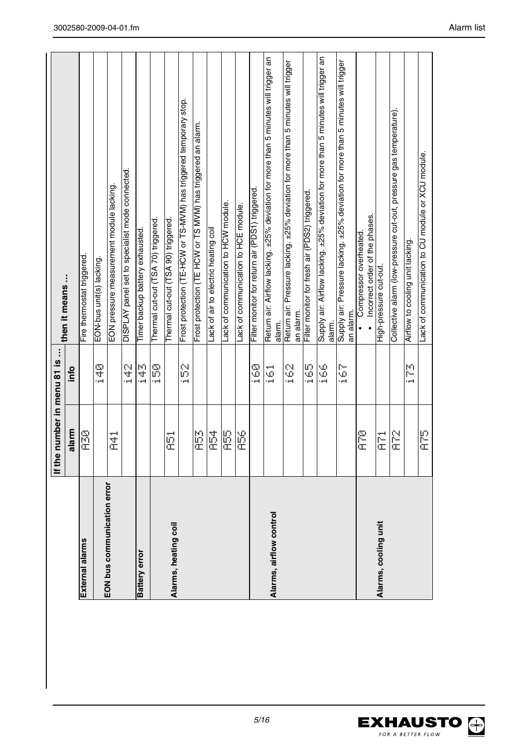| Frost protection (TE-HCW or TS-MVM) has triggered temporary stop.<br>an alarm.<br>Frost protection (TE HCW or TS MVM) has triggered<br>DISPLAY panel set to specialist mode connected<br>EON pressure measurement module lacking<br>Lack of communication to HCW module.<br>Thermal cut-out (TSA 90) triggered.<br>Thermal cut-out (TSA 70) triggered<br>Timer backup battery exhausted.<br>Lack of air to electric heating coil<br>Fire thermostat triggered.<br>EON-bus unit(s) lacking.<br>then it means<br>number in menu 81 is<br><u>ន</u><br>្មុ<br>άp:<br>уй<br>Д<br>န္က<br>info<br>i pol<br>i polj |
|------------------------------------------------------------------------------------------------------------------------------------------------------------------------------------------------------------------------------------------------------------------------------------------------------------------------------------------------------------------------------------------------------------------------------------------------------------------------------------------------------------------------------------------------------------------------------------------------------------|
|                                                                                                                                                                                                                                                                                                                                                                                                                                                                                                                                                                                                            |
|                                                                                                                                                                                                                                                                                                                                                                                                                                                                                                                                                                                                            |
|                                                                                                                                                                                                                                                                                                                                                                                                                                                                                                                                                                                                            |
|                                                                                                                                                                                                                                                                                                                                                                                                                                                                                                                                                                                                            |
|                                                                                                                                                                                                                                                                                                                                                                                                                                                                                                                                                                                                            |
|                                                                                                                                                                                                                                                                                                                                                                                                                                                                                                                                                                                                            |
|                                                                                                                                                                                                                                                                                                                                                                                                                                                                                                                                                                                                            |
|                                                                                                                                                                                                                                                                                                                                                                                                                                                                                                                                                                                                            |
|                                                                                                                                                                                                                                                                                                                                                                                                                                                                                                                                                                                                            |
|                                                                                                                                                                                                                                                                                                                                                                                                                                                                                                                                                                                                            |
|                                                                                                                                                                                                                                                                                                                                                                                                                                                                                                                                                                                                            |
|                                                                                                                                                                                                                                                                                                                                                                                                                                                                                                                                                                                                            |
|                                                                                                                                                                                                                                                                                                                                                                                                                                                                                                                                                                                                            |
| Lack of communication to HCE module.                                                                                                                                                                                                                                                                                                                                                                                                                                                                                                                                                                       |
| Filter monitor for return air (PDS1) triggered.<br>Ş                                                                                                                                                                                                                                                                                                                                                                                                                                                                                                                                                       |
| Return air: Airflow lacking. ±25% deviation for more than 5 minutes will trigger an<br>alarm.<br>---<br>УĎ,<br>i polj                                                                                                                                                                                                                                                                                                                                                                                                                                                                                      |
| Return air: Pressure lacking. ±25% deviation for more than 5 minutes will trigger<br>an alarm.<br>S<br>i polj                                                                                                                                                                                                                                                                                                                                                                                                                                                                                              |
| Filter monitor for fresh air (PDS2) triggered.<br>SS<br>SSS                                                                                                                                                                                                                                                                                                                                                                                                                                                                                                                                                |
| Supply air: Airflow lacking. ±25% deviation for more than 5 minutes will trigger an<br>alarm.<br>\$<br>٠e                                                                                                                                                                                                                                                                                                                                                                                                                                                                                                  |
| Supply air: Pressure lacking. ±25% deviation for more than 5 minutes will trigger<br>an alarm<br>င့်<br>وسواء                                                                                                                                                                                                                                                                                                                                                                                                                                                                                              |
| Incorrect order of the phases.<br>Compressor overheated                                                                                                                                                                                                                                                                                                                                                                                                                                                                                                                                                    |
| High-pressure cut-out.                                                                                                                                                                                                                                                                                                                                                                                                                                                                                                                                                                                     |
| Collective alarm (low-pressure cut-out, pressure gas temperature).                                                                                                                                                                                                                                                                                                                                                                                                                                                                                                                                         |
| Airflow to cooling unit lacking.<br>p<br>- 4                                                                                                                                                                                                                                                                                                                                                                                                                                                                                                                                                               |
| Lack of communication to CU module or XCU module.                                                                                                                                                                                                                                                                                                                                                                                                                                                                                                                                                          |
|                                                                                                                                                                                                                                                                                                                                                                                                                                                                                                                                                                                                            |



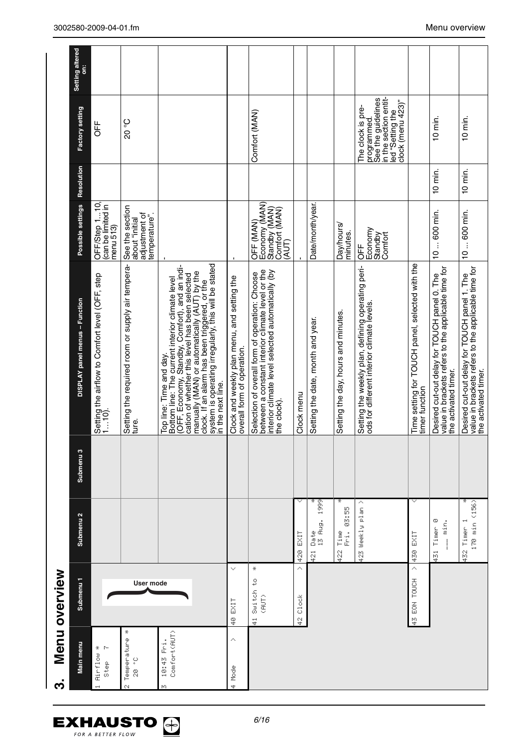|               | Setting altered<br>ä           |                                                           |                                                                     |                                                                                                                                                                                                                                                                                                                                                              |                                                                           |                                                                                                                                                                       |               |                                   |                                        |                                                                                                                         |                                                                   |                                                                                                                             |                                                                                                                             |
|---------------|--------------------------------|-----------------------------------------------------------|---------------------------------------------------------------------|--------------------------------------------------------------------------------------------------------------------------------------------------------------------------------------------------------------------------------------------------------------------------------------------------------------------------------------------------------------|---------------------------------------------------------------------------|-----------------------------------------------------------------------------------------------------------------------------------------------------------------------|---------------|-----------------------------------|----------------------------------------|-------------------------------------------------------------------------------------------------------------------------|-------------------------------------------------------------------|-----------------------------------------------------------------------------------------------------------------------------|-----------------------------------------------------------------------------------------------------------------------------|
|               | Factory setting                | <b>UFF</b>                                                | 20°                                                                 |                                                                                                                                                                                                                                                                                                                                                              |                                                                           | Comfort (MAN)                                                                                                                                                         |               |                                   |                                        | in the section entit-<br>See the guidelines<br>clock (menu 423)"<br>The clock is pre-<br>led "Setting the<br>programmed |                                                                   | 10 min.                                                                                                                     | 10 min.                                                                                                                     |
|               | Resolution                     |                                                           |                                                                     |                                                                                                                                                                                                                                                                                                                                                              |                                                                           |                                                                                                                                                                       |               |                                   |                                        |                                                                                                                         |                                                                   | $10$ min.                                                                                                                   | $10$ min.                                                                                                                   |
|               | Possible settings              | OFF/Step 110<br>(can be limited in<br>menu 513)           | See the section<br>adjustment of<br>temperature".<br>about "initial |                                                                                                                                                                                                                                                                                                                                                              |                                                                           | Economy (MAN)<br>Standby (MAN)<br>Comfort (MAN)<br>OFF (MAN)<br>(AUT)                                                                                                 |               | Date/month/year.                  | Day/hours/<br>minutes.                 | Economy<br>Standby<br>Comfort<br><b>DFF</b>                                                                             |                                                                   | 10  600 min.                                                                                                                | 10  600 min.                                                                                                                |
|               | DISPLAY panel menus - Function | Setting the airflow to Comfort level (OFF, step<br>1…10). | Setting the required room or supply air tempera-<br>ture.           | clock. If an alarm has been triggered, or the<br>system is operating irregularly, this will be stated<br>(OFF, Economy, Standby, Comfort), and an indi-<br>cation of whether this level has been selected<br>manually (MAN) or automatically (AUT) by the<br>Bottom line: The current interior climate level<br>Top line: Time and day.<br>in the next line. | Clock and weekly plan menu, and setting the<br>overall form of operation. | between a constant interior climate level or the<br>interior climate level selected automatically (by<br>Selection of overall form of operation: Choose<br>the clock) | Clock menu    | Setting the date, month and year. | Setting the day, hours and minutes.    | Setting the weekly plan, defining operating peri-<br>ods for different interior climate levels.                         | Time setting for TOUCH panel, selected with the<br>timer function | value in brackets refers to the applicable time for<br>Desired cut-out delay for TOUCH panel 0. The<br>the activated timer. | value in brackets refers to the applicable time for<br>Desired cut-out delay for TOUCH panel 1. The<br>the activated timer. |
|               | Submenu <sub>3</sub>           |                                                           |                                                                     |                                                                                                                                                                                                                                                                                                                                                              |                                                                           |                                                                                                                                                                       |               |                                   |                                        |                                                                                                                         |                                                                   |                                                                                                                             |                                                                                                                             |
|               | Submenu <sub>2</sub>           |                                                           |                                                                     |                                                                                                                                                                                                                                                                                                                                                              |                                                                           |                                                                                                                                                                       | 420 EXIT      | 1999<br>Date<br>13 Aug.<br>421    | 03:55<br>Fri.<br>Time<br>$\frac{2}{3}$ | Weekly plan<br>423                                                                                                      | 430 EXIT                                                          | 431 Timer 0<br>min.                                                                                                         | ÷<br>170 min (156)<br>432 Timer 1                                                                                           |
| Menu overview | Submenu <sub>1</sub>           |                                                           | User mode                                                           |                                                                                                                                                                                                                                                                                                                                                              | v<br>EXIT<br>ş                                                            | ÷<br>Ş<br>Switch<br>$\frac{1}{2}$<br>$\frac{1}{4}$                                                                                                                    | ×<br>42 Clock |                                   |                                        |                                                                                                                         | Ä<br>43 EON TOUCH                                                 |                                                                                                                             |                                                                                                                             |
| က             | Main menu                      | Airflow *<br>P-<br>$rac{6}{3}$                            | ÷<br>Temperature<br>$20^{\circ}$<br>N                               | Comfort(AUT)<br>10:43 Fri.<br>МO                                                                                                                                                                                                                                                                                                                             | ∧<br>Mode<br>÷                                                            |                                                                                                                                                                       |               |                                   |                                        |                                                                                                                         |                                                                   |                                                                                                                             |                                                                                                                             |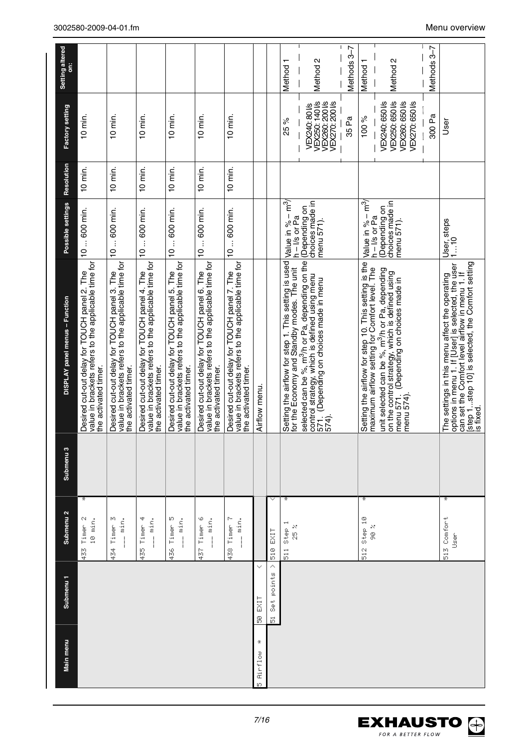| Submenu <sub>1</sub><br>Main menu | Submenu <sub>2</sub>                            | Submenu <sub>3</sub> | DISPLAY panel menus - Function                                                                                                                                                                                        | Possible settings                                  | Resolution | Factory setting                                                                           | Setting altered<br>ä |
|-----------------------------------|-------------------------------------------------|----------------------|-----------------------------------------------------------------------------------------------------------------------------------------------------------------------------------------------------------------------|----------------------------------------------------|------------|-------------------------------------------------------------------------------------------|----------------------|
|                                   | ÷<br>433 Timer 2<br>10 min.                     |                      | value in brackets refers to the applicable time for<br>Desired cut-out delay for TOUCH panel 2. The<br>the activated timer.                                                                                           | 10  600 min.                                       | $10$ min.  | $10$ min.                                                                                 |                      |
|                                   | ю<br>$\overline{\phantom{a}}$ min.<br>434 Timer |                      | value in brackets refers to the applicable time for<br>Desired cut-out delay for TOUCH panel 3. The<br>the activated timer.                                                                                           | 10  600 min.                                       | $10$ min.  | 10 min.                                                                                   |                      |
|                                   | 435 Timer 4<br>$\ldots$ min.                    |                      | value in brackets refers to the applicable time for<br>Desired cut-out delay for TOUCH panel 4. The<br>the activated timer.                                                                                           | 10  600 min.                                       | $10$ min.  | 10 min.                                                                                   |                      |
|                                   | Ю<br>$\ldots$ min.<br>436 Timer                 |                      | value in brackets refers to the applicable time for<br>Desired cut-out delay for TOUCH panel 5. The<br>the activated timer.                                                                                           | 10  600 min.                                       | $10$ min.  | $10$ min.                                                                                 |                      |
|                                   | 437 Timer 6<br>min.                             |                      | value in brackets refers to the applicable time for<br>Desired cut-out delay for TOUCH panel 6. The<br>the activated timer.                                                                                           | 10  600 min.                                       | $10$ min.  | $10$ min.                                                                                 |                      |
|                                   | 438 Timer 7<br>$\ldots$ min.                    |                      | value in brackets refers to the applicable time for<br>Desired cut-out delay for TOUCH panel 7. The<br>the activated timer.                                                                                           | 10  600 min.                                       | $10$ min.  | $10$ min.                                                                                 |                      |
| EXIT<br>s<br>S<br>¥               |                                                 |                      | Airflow menu.                                                                                                                                                                                                         |                                                    |            |                                                                                           |                      |
| Set points<br>$\vec{5}$           | 510 EXIT<br>Δ                                   |                      |                                                                                                                                                                                                                       |                                                    |            |                                                                                           |                      |
|                                   | ¥<br>511 Step 1<br>$\frac{25}{20}$              |                      | Setting the airflow for step 1. This setting is used<br>for the Economy and Standby modes. The unit                                                                                                                   | Value in $\% - m^3$<br>$h - I/s$ or Pa             |            | 25 %                                                                                      | Method 1             |
|                                   |                                                 |                      | selected can be %, m <sup>3</sup> /h or Pa, depending on the<br>control strategy, which is defined using menu<br>571. (Depending on choices made in menu<br>574).                                                     | choices made in<br>(Depending on<br>menu 571).     |            | VEX250: 140 Vs<br><b>VEX260: 200 Vs</b><br><b>VEX270: 200 Vs</b><br><b>VEX240: 80 l/s</b> | Method <sub>2</sub>  |
|                                   |                                                 |                      |                                                                                                                                                                                                                       |                                                    |            | 35 Pa                                                                                     | Methods 3-7          |
|                                   | ¥<br>512 Step 10<br>25<br>80                    |                      | Setting the airflow for step 10. This setting is the<br>maximum airflow setting for Comfort level. The                                                                                                                | Value in $\%$ – m $\frac{3}{2}$<br>$h - l/s$ or Pa |            | 100 %                                                                                     | Method 1             |
|                                   |                                                 |                      | unit selected can be %, m <sup>3</sup> /h or Pa, depending<br>on the control strategy, which is defined using<br>menu 571. (Depending on choices made in<br>menu 574).                                                | choices made in<br>(Depending on<br>menu 571).     |            | <b>VEX250: 650 Vs</b><br><b>VEX260: 650 Vs</b><br><b>VEX270: 650 Vs</b><br>VEX240: 650 Vs | Method 2             |
|                                   |                                                 |                      |                                                                                                                                                                                                                       |                                                    |            | 300 Pa                                                                                    | Methods 3-7          |
|                                   | ¥<br>513 Comfort<br>User                        |                      | step 1step 10] is selected, the Comfort setting<br>options in menu 1. If [User] is selected, the user<br>can set the Comfort level airflow in menu 1. If<br>The settings in this menu affect the operating<br>s fixed | User, steps<br>110                                 |            | User                                                                                      |                      |

EXHAUSTO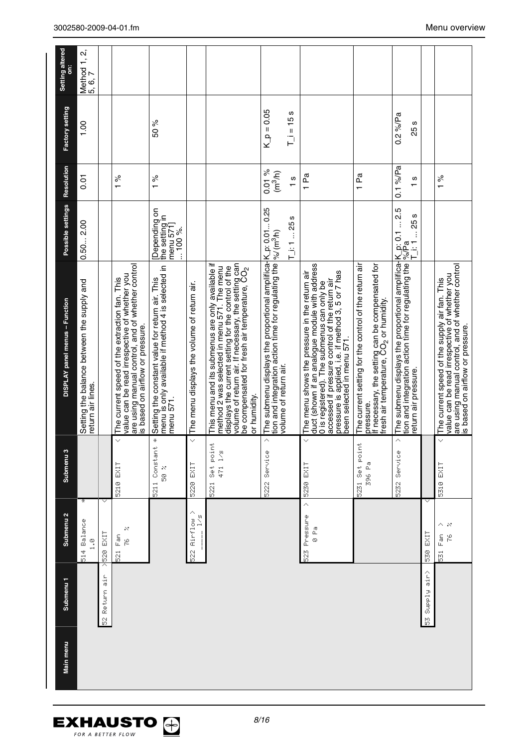| Setting altered<br>ä           | Method 1, 2,<br>5, 6, 7                                         |                       |                                                                                                                                                                                       |                                                                                                                   |                                             |                                                                                                                                                                                                                                                                                            |                                                                                                                                                                                                                    |                                                                                                                                                                                                                                                                                    |                                                                                                                                                                               |                                                                                                                                                                                                   |                                    |                                                                                                                                                                                        |
|--------------------------------|-----------------------------------------------------------------|-----------------------|---------------------------------------------------------------------------------------------------------------------------------------------------------------------------------------|-------------------------------------------------------------------------------------------------------------------|---------------------------------------------|--------------------------------------------------------------------------------------------------------------------------------------------------------------------------------------------------------------------------------------------------------------------------------------------|--------------------------------------------------------------------------------------------------------------------------------------------------------------------------------------------------------------------|------------------------------------------------------------------------------------------------------------------------------------------------------------------------------------------------------------------------------------------------------------------------------------|-------------------------------------------------------------------------------------------------------------------------------------------------------------------------------|---------------------------------------------------------------------------------------------------------------------------------------------------------------------------------------------------|------------------------------------|----------------------------------------------------------------------------------------------------------------------------------------------------------------------------------------|
| Factory setting                | 1.00                                                            |                       |                                                                                                                                                                                       | 50 %                                                                                                              |                                             |                                                                                                                                                                                                                                                                                            | $K_p = 0.05$<br>$T_i = 15s$                                                                                                                                                                                        |                                                                                                                                                                                                                                                                                    |                                                                                                                                                                               | $0.2\%$ /Pa<br>S<br>25                                                                                                                                                                            |                                    |                                                                                                                                                                                        |
| Resolution                     | $\overline{0}$                                                  |                       | $\frac{5}{6}$                                                                                                                                                                         | $\frac{5}{6}$                                                                                                     |                                             |                                                                                                                                                                                                                                                                                            | 0.01%<br>(m <sup>3</sup> /h)<br>S<br>$\mathbf{r}$<br>S                                                                                                                                                             | 1 Pa                                                                                                                                                                                                                                                                               | 1 Pa                                                                                                                                                                          | $0.1\%$ /Pa<br>ပ<br>$\overline{ }$<br>Ю                                                                                                                                                           |                                    | $\frac{5}{6}$                                                                                                                                                                          |
| Possible settings              | 0.502.00                                                        |                       |                                                                                                                                                                                       | Depending on<br>the setting in<br>menu 571]<br>$100\%$ .                                                          |                                             |                                                                                                                                                                                                                                                                                            | $T_i$ : 1 25                                                                                                                                                                                                       |                                                                                                                                                                                                                                                                                    |                                                                                                                                                                               | $-25$ s<br>后当                                                                                                                                                                                     |                                    |                                                                                                                                                                                        |
| DISPLAY panel menus - Function | Setting the balance between the supply and<br>return air lines. |                       | are using manual control, and of whether control<br>value can be read irrespective of whether you<br>The current speed of the extraction fan. This<br>s based on airflow or pressure. | menu is only available if method 4 is selected in<br>Setting the constant value for return air. This<br>menu 571. | The menu displays the volume of return air. | This menu and its submenus are only available if<br>method 2 was selected in menu 571. The menu<br>displays the current setting for the control of the<br>volume of return air. If necessary, the setting can<br>be compensated for fresh air temperature, CO <sub>2</sub><br>or humidity. | The submenu displays the proportional amplifica-K_p: 0.01 0.25<br>tion and integration action time for regulating the $ \phi_{\rm o}/\langle m^3 \rangle$ rn)<br>volume of return air.<br>$\overline{\mathcal{E}}$ | duct (shown if an analogue module with address<br>accessed if pressure control of the return air<br>pressure is applied, i.e. if method 3, 5 or 7 has<br>The menu shows the pressure in the return air<br>0 is registered). The submenus can only be<br>been selected in menu 571. | If necessary, the setting can be compensated for<br>fresh air temperature, CO <sub>2</sub> or humidity.<br>The current setting for the control of the return air<br>pressure. | The submenu displays the proportional amplifica- $ $ K_p: 0.1  2.<br>tion and integration action time for regulating the $ ^{\circ}\!\!\mathbin{\triangleright} P$ a<br>return air pressure.<br>ᄎ |                                    | are using manual control, and of whether control<br>value can be read irrespective of whether you<br>The current speed of the supply air fan. This<br>is based on airflow or pressure. |
| Submenu <sub>3</sub>           |                                                                 |                       | $\checkmark$<br>5210 EXIT                                                                                                                                                             | X<br>5211 Constant<br>25<br>20                                                                                    | $\ddotmark$<br>EXIT<br>5220                 | Set poin<br>1/5<br>471<br>$\overline{\widetilde{\Omega}}$                                                                                                                                                                                                                                  | 5222 Service                                                                                                                                                                                                       | $\checkmark$<br>5230 EXIT                                                                                                                                                                                                                                                          | 5231 Set point<br>396 Pa                                                                                                                                                      | Service<br>5232                                                                                                                                                                                   |                                    | V<br>EXIT<br>5310                                                                                                                                                                      |
| Submenu <sub>2</sub>           | ¥<br>514 Balance<br>$\frac{8}{11}$                              | v<br><b>X520 EXIT</b> | ×<br>Fan<br>je<br>N<br>$\overline{\widetilde{\Omega}}$                                                                                                                                |                                                                                                                   | 522 Airflow<br>1/5                          |                                                                                                                                                                                                                                                                                            |                                                                                                                                                                                                                    | Ä<br>523 Pressure<br>e<br>©                                                                                                                                                                                                                                                        |                                                                                                                                                                               |                                                                                                                                                                                                   | 530 EXIT                           | $\mathcal{N}$<br>ř<br>Fan<br>$\vec{b}$                                                                                                                                                 |
| Submenu <sub>1</sub>           |                                                                 | 52 Return air         |                                                                                                                                                                                       |                                                                                                                   |                                             |                                                                                                                                                                                                                                                                                            |                                                                                                                                                                                                                    |                                                                                                                                                                                                                                                                                    |                                                                                                                                                                               |                                                                                                                                                                                                   | $\frac{1}{2}r$<br><b>Biggue</b> 25 |                                                                                                                                                                                        |
| Main menu                      |                                                                 |                       |                                                                                                                                                                                       |                                                                                                                   |                                             |                                                                                                                                                                                                                                                                                            |                                                                                                                                                                                                                    |                                                                                                                                                                                                                                                                                    |                                                                                                                                                                               |                                                                                                                                                                                                   |                                    |                                                                                                                                                                                        |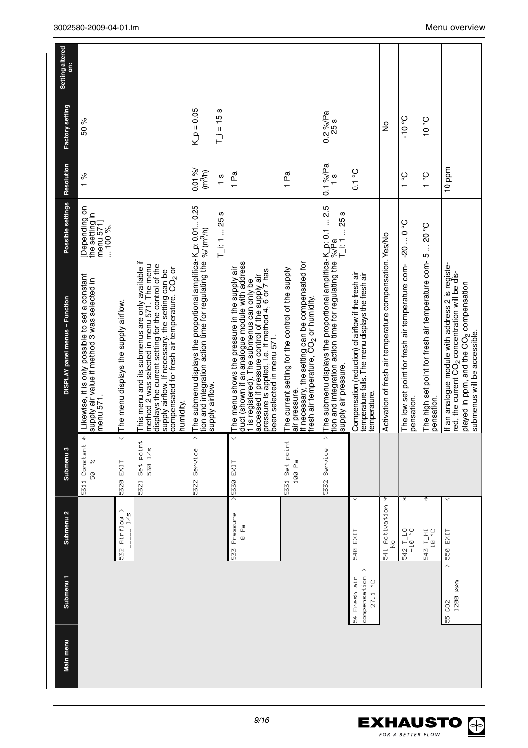| Setting altered<br>ä<br>Factory setting | 50 %                                                                                                        |                                       |                                                                                                                                                                                                                                                                                      | $K_p = 0.05$                                                                                                                                              | ဖာ<br>$T_{-}$ $= 15$ |                                                                                                                                                                                                                                                                                    |                                                                                                                                                                              | $0.2\%$ /Pa<br>25 s                                                                                                                                                                                                                                  |                                                                                                                            | ş                                                        | $Oo$ Ol-                                                       | 0°0                                                               |                                                                                                                                                                                                        |
|-----------------------------------------|-------------------------------------------------------------------------------------------------------------|---------------------------------------|--------------------------------------------------------------------------------------------------------------------------------------------------------------------------------------------------------------------------------------------------------------------------------------|-----------------------------------------------------------------------------------------------------------------------------------------------------------|----------------------|------------------------------------------------------------------------------------------------------------------------------------------------------------------------------------------------------------------------------------------------------------------------------------|------------------------------------------------------------------------------------------------------------------------------------------------------------------------------|------------------------------------------------------------------------------------------------------------------------------------------------------------------------------------------------------------------------------------------------------|----------------------------------------------------------------------------------------------------------------------------|----------------------------------------------------------|----------------------------------------------------------------|-------------------------------------------------------------------|--------------------------------------------------------------------------------------------------------------------------------------------------------------------------------------------------------|
| Resolution                              | $\frac{5}{6}$                                                                                               |                                       |                                                                                                                                                                                                                                                                                      | 0.01%<br>(m <sup>3</sup> /h)                                                                                                                              | $\frac{8}{1}$        | 1 Pa                                                                                                                                                                                                                                                                               | 1 Pa                                                                                                                                                                         | $0.1\%$ /Pa<br>$\frac{8}{1}$                                                                                                                                                                                                                         | $0.1$ °C                                                                                                                   |                                                          | ပ္င<br>$\mathbf -$                                             | ပွ<br>$\overline{ }$                                              | 10 ppm                                                                                                                                                                                                 |
| Possible settings                       | Depending on<br>the setting in<br>menu 571]<br>$100\%$ .                                                    |                                       |                                                                                                                                                                                                                                                                                      |                                                                                                                                                           | $T_i$ : 1  25 s      |                                                                                                                                                                                                                                                                                    |                                                                                                                                                                              | $-25$ s<br>后                                                                                                                                                                                                                                         |                                                                                                                            |                                                          | $0.0 - 0.05$                                                   | <b>S</b> 02<br>$\vdots$                                           |                                                                                                                                                                                                        |
| DISPLAY panel menus - Function          | Likewise, it is only possible to set a constant<br>supply air value if method 3 was selected in<br>menu 571 | The menu displays the supply airflow. | This menu and its submenus are only available if<br>method 2 was selected in menu 571. The menu<br>displays the current setting for the control of the<br>supply airflow. If necessary, the setting can be<br>compensated for fresh air temperature, CO <sub>2</sub> or<br>numidity. | The submenu displays the proportional amplifica-K_p: 0.01 0.25<br>tion and integration action time for regulating the $ \%$ (m $^3$ h)<br>supply airflow. |                      | duct (shown if an analogue module with address<br>1 is registered). The submenus can only be<br>The menu shows the pressure in the supply air<br>accessed if pressure control of the supply air<br>pressure is applied, i.e. if method 4, 6 or 7 has<br>been selected in menu 571. | If necessary, the setting can be compensated for<br>The current setting for the control of the supply<br>resh air temperature, ČO <sub>2</sub> or humidity.<br>air pressure. | The submenu displays the proportional amplifica-K_p: 0.1  2.5<br>tion and integration action time for regulating the $\frac{\rho_{\alpha}/\rho_{2}}{\rho_{1}}$ are substanting the $\frac{\rho_{\alpha}/\rho_{2}}{\rho_{1}}$<br>supply air pressure. | Compensation (reduction) of airflow if the fresh air<br>temperature falls. The menu displays the fresh air<br>temperature. | Activation of fresh air temperature compensation. Yes/No | The low set point for fresh air temperature com-<br>pensation. | The high set point for fresh air temperature com- 5<br>pensation. | If an analogue module with address 2 is registe-<br>red, the current CO <sub>2</sub> concentration will be dis-<br>played in ppm, and the CO <sub>2</sub> compensation<br>submenus will be accessible. |
| Submenu <sub>3</sub>                    | ÷<br>5311 Constant<br>×<br>s<br>6                                                                           | $\ddot{\mathbf{v}}$<br>EXIT<br>5320   | point<br>$\frac{8}{1}$<br>530<br>$\frac{4}{3}$<br>$\overline{521}$                                                                                                                                                                                                                   | Ä<br>Service<br>5322                                                                                                                                      |                      | $\checkmark$<br>$>$ 5330 EXIT                                                                                                                                                                                                                                                      | 5331 Set point<br>100 Pa                                                                                                                                                     | Ä<br>Service<br>5332                                                                                                                                                                                                                                 |                                                                                                                            |                                                          |                                                                |                                                                   |                                                                                                                                                                                                        |
| Submenu <sub>2</sub>                    |                                                                                                             | 532 Airflow ><br>$\sum_{i=1}^{n}$     |                                                                                                                                                                                                                                                                                      |                                                                                                                                                           |                      | 533 Pressure<br>e<br>©                                                                                                                                                                                                                                                             |                                                                                                                                                                              |                                                                                                                                                                                                                                                      | v<br>540 EXIT                                                                                                              | 541 Activation *<br>$\frac{9}{2}$                        | ÷<br>2. 0T-10                                                  | ÷<br>343 T_HI<br>10 °C                                            | 550 EXIT                                                                                                                                                                                               |
| Submenu <sub>1</sub>                    |                                                                                                             |                                       |                                                                                                                                                                                                                                                                                      |                                                                                                                                                           |                      |                                                                                                                                                                                                                                                                                    |                                                                                                                                                                              |                                                                                                                                                                                                                                                      | Λ<br>compensation<br>54 Fresh air<br>27.1°C                                                                                |                                                          |                                                                |                                                                   | Ä<br>1200 ppm<br>55<br>59                                                                                                                                                                              |
| Main menu                               |                                                                                                             |                                       |                                                                                                                                                                                                                                                                                      |                                                                                                                                                           |                      |                                                                                                                                                                                                                                                                                    |                                                                                                                                                                              |                                                                                                                                                                                                                                                      |                                                                                                                            |                                                          |                                                                |                                                                   |                                                                                                                                                                                                        |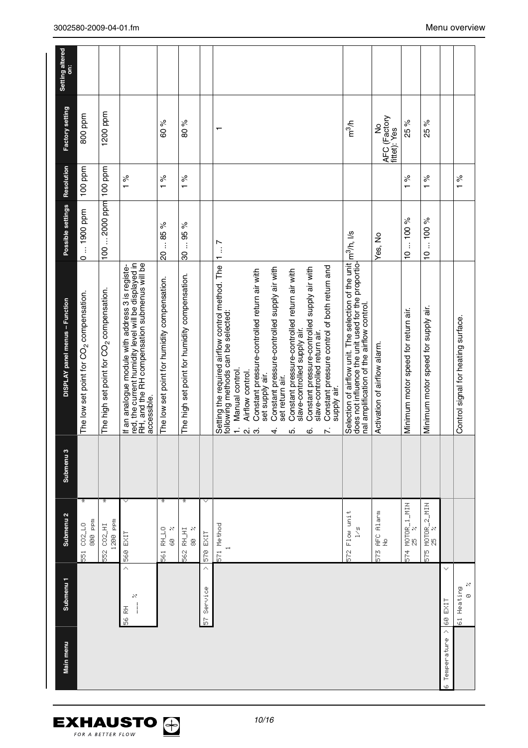| Main menu                                                              | Submenu <sub>1</sub>   | Submenu <sub>2</sub>                                 | Submenu <sub>3</sub> | DISPLAY panel menus - Function                                                                                                                                                                                                                                                                                                                                                                                                                                                                                                                         | Possible settings                          | Resolution                 | Factory setting                   | Setting altered<br>ä |
|------------------------------------------------------------------------|------------------------|------------------------------------------------------|----------------------|--------------------------------------------------------------------------------------------------------------------------------------------------------------------------------------------------------------------------------------------------------------------------------------------------------------------------------------------------------------------------------------------------------------------------------------------------------------------------------------------------------------------------------------------------------|--------------------------------------------|----------------------------|-----------------------------------|----------------------|
|                                                                        |                        | ¥<br>800 ppm<br>551 002_LO                           |                      | The low set point for CO <sub>2</sub> compensation.                                                                                                                                                                                                                                                                                                                                                                                                                                                                                                    | 0  1900 ppm                                | 100 ppm                    | 800 ppm                           |                      |
|                                                                        |                        | ¥<br>1200 ppm<br>552 CO2_HI                          |                      | The high set point for CO <sub>2</sub> compensation.                                                                                                                                                                                                                                                                                                                                                                                                                                                                                                   | 100  2000 ppm                              | 100 ppm                    | 1200 ppm                          |                      |
| $\begin{array}{c} \n\downarrow \\ \n\downarrow \n\end{array}$<br>56 RH | Ä<br>×                 | v<br>560 EXIT                                        |                      | If an analogue module with address 3 is registe-<br>red, the current humidity level will be displayed in<br>RH, and the RH compensation submenus will be<br>accessible.                                                                                                                                                                                                                                                                                                                                                                                |                                            | $\frac{96}{6}$             |                                   |                      |
|                                                                        |                        | ¥<br>561 RH_LO<br>N<br>s<br>S                        |                      | The low set point for humidity compensation.                                                                                                                                                                                                                                                                                                                                                                                                                                                                                                           | 2085%                                      | $\delta$<br>$\overline{a}$ | 60 %                              |                      |
|                                                                        |                        | ¥<br>RH_HI<br>8<br>$\frac{8}{5}$                     |                      | The high set point for humidity compensation.                                                                                                                                                                                                                                                                                                                                                                                                                                                                                                          | $\%$<br>$-95$<br>30                        | $\%$<br>$\overline{ }$     | 80%                               |                      |
|                                                                        | Ä<br>57 Service        | v<br>570 EXIT                                        |                      |                                                                                                                                                                                                                                                                                                                                                                                                                                                                                                                                                        |                                            |                            |                                   |                      |
|                                                                        |                        | 571 Method<br>H                                      |                      | Setting the required airflow control method. The<br>Constant pressure control of both return and<br>Constant pressure-controlled supply air with<br>Constant pressure-controlled supply air with<br>Constant pressure-controlled return air with<br>Constant pressure-controlled return air with<br>following methods can be selected:<br>slave-controlled supply air<br>slave-controlled return air.<br>Manual control.<br>Airflow control.<br>set supply air.<br>set return air.<br>supply air.<br>$\div$<br>$\dot{\mathsf n}$<br>ιó.<br>ო<br>ဖ<br>4 | $\begin{array}{c} 1 & \dots 7 \end{array}$ |                            | $\mathbf{\tau}$                   |                      |
|                                                                        |                        | Flow unit<br>$\sum_{i=1}^{n}$<br>ր<br><mark>6</mark> |                      | Selection of airflow unit. The selection of the unit $\ln^3/n$ , l/s<br>does not influence the unit used for the proportio-<br>nal amplification of the airflow control.                                                                                                                                                                                                                                                                                                                                                                               |                                            |                            | m <sup>3</sup> /h                 |                      |
|                                                                        |                        | AFC Alarm<br>$\frac{9}{2}$<br>ξLΩ                    |                      | Activation of airflow alarm.                                                                                                                                                                                                                                                                                                                                                                                                                                                                                                                           | Yes, No                                    |                            | AFC (Factory<br>fittet): Yes<br>ž |                      |
|                                                                        |                        | 574 MOTOR_1_MIN<br>25 %                              |                      | Minimum motor speed for return air.                                                                                                                                                                                                                                                                                                                                                                                                                                                                                                                    | $-100%$<br>$\frac{1}{2}$                   | ಸಿ<br>$\overline{ }$       | 25 %                              |                      |
|                                                                        |                        | 575 MOTOR_2_MIN<br>MIN                               |                      | Minimum motor speed for supply air.                                                                                                                                                                                                                                                                                                                                                                                                                                                                                                                    | $-100%$<br>$\overline{C}$                  | $\frac{96}{6}$             | 25 %                              |                      |
| 60 EXIT<br>×<br>Temperature                                            | v                      |                                                      |                      |                                                                                                                                                                                                                                                                                                                                                                                                                                                                                                                                                        |                                            |                            |                                   |                      |
|                                                                        | 85<br>61 Heating<br>Ø. |                                                      |                      | Control signal for heating surface.                                                                                                                                                                                                                                                                                                                                                                                                                                                                                                                    |                                            | $\frac{5}{6}$              |                                   |                      |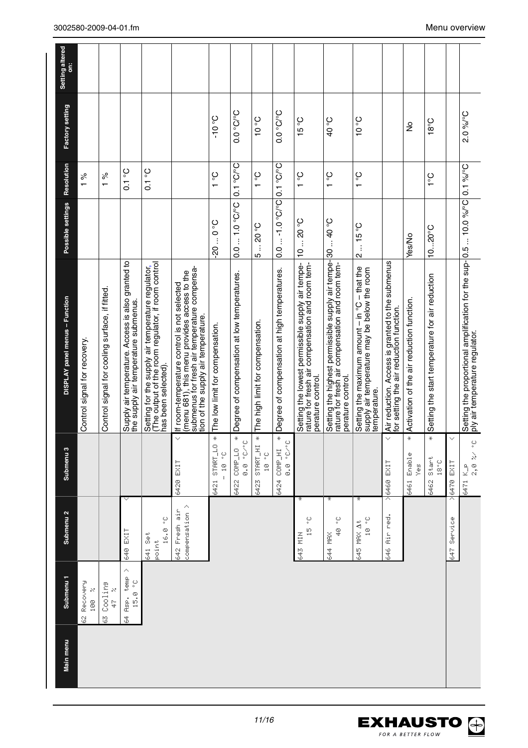| Main menu | Submenu 1                      | Submenu <sub>2</sub>                                                                       | Submenu 3                                | DISPLAY panel menus - Function                                                                                                                                                     | Possible settings | <b>Resolution</b>           | Factory setting               | Setting altered<br>ä |
|-----------|--------------------------------|--------------------------------------------------------------------------------------------|------------------------------------------|------------------------------------------------------------------------------------------------------------------------------------------------------------------------------------|-------------------|-----------------------------|-------------------------------|----------------------|
|           | 62 Recovery<br>100 %           |                                                                                            |                                          | Control signal for recovery.                                                                                                                                                       |                   | $\frac{5}{6}$               |                               |                      |
|           | 63 Coolina<br>Ņ<br>ţ.          |                                                                                            |                                          | Control signal for cooling surface, if fitted                                                                                                                                      |                   | ಸಿ<br>$\overline{ }$        |                               |                      |
|           | Λ<br>Rsp. temp<br>$15.8o$<br>ť | v<br>640 EXIT                                                                              |                                          | Supply air temperature. Access is also granted to<br>the supply air temperature submenus.                                                                                          |                   | ပ္င<br>$\overline{C}$       |                               |                      |
|           |                                | $\mathop{\circ}_{\circ}$<br>$\begin{array}{c} 0 \\ 0 \\ 0 \end{array}$<br>641 Set<br>Point |                                          | Setting for the supply air temperature regulator,<br>(The output of the room regulator, if room control<br>has been selected).                                                     |                   | ပ္၀<br>$\overline{0}$       |                               |                      |
|           |                                | compensation ><br>642 Fresh air                                                            | $\checkmark$<br>6420 EXIT                | submenus for fresh air temperature compensa-<br>lf room-temperature control is not selected<br>(menu 681), this menu provides access to the<br>tion of the supply air temperature. |                   |                             |                               |                      |
|           |                                |                                                                                            | $\ddot{\pi}$<br>6421 STRRT_LO<br>$-10.0$ | The low limit for compensation.                                                                                                                                                    | $0.0 - 0.2$       | $3^{\circ}$ 1               | $Oo$ Ol-                      |                      |
|           |                                |                                                                                            | x<br>$\circ$<br>0.0°C/°<br>6422 COMP_LO  | Degree of compensation at low temperatures.                                                                                                                                        | $0.0 - 1.0$ °C/°C | $0.1\degree$ C/ $\degree$ C | $O^\circ$ C/ $^\circ$ C       |                      |
|           |                                |                                                                                            | x<br>START_HI<br>10 °C<br>6423           | The high limit for compensation.                                                                                                                                                   | 3.05<br><u> ທ</u> | $1^{\circ}$                 | 0 <sub>°</sub>                |                      |
|           |                                |                                                                                            | x<br>8.0°C/°C<br>6424 COMP_HI            | Degree of compensation at high temperatures.                                                                                                                                       | $0.0 - 1.0 °C$    | $O.1$ °C/°C                 | O <sub>0</sub> O <sub>0</sub> |                      |
|           |                                | ∗<br>့<br>io<br>H<br>643 MIN                                                               |                                          | Setting the lowest permissible supply air tempe-<br>rature for fresh air compensation and room tem-<br>perature control.                                                           | 1020 °C           | ပွ<br>$\overline{ }$        | $15^{\circ}$ C                |                      |
|           |                                | ÷<br>40°<br>644 MRX                                                                        |                                          | Setting the highest permissible supply air tempe- 30  40 °C<br>rature for fresh air compensation and room tem-<br>perature control.                                                |                   | $\frac{1}{2}$               | <b>3°0+</b>                   |                      |
|           |                                | ¥<br>$10 - C$<br>645 MAX At                                                                |                                          | Setting the maximum amount - in °C - that the<br>supply air temperature may be below the room<br>temperature.                                                                      | $2 - 15$ °C       | $\frac{5}{1}$               | $0^{\circ}$ 01                |                      |
|           |                                | 646 Air red.                                                                               | $\checkmark$<br>>6460 EXIT               | Air reduction. Access is granted to the submenus<br>for setting the air reduction function.                                                                                        |                   |                             |                               |                      |
|           |                                |                                                                                            | x<br>6461 Enable<br>$\overset{0}{\succ}$ | Activation of the air reduction function.                                                                                                                                          | Yes/No            |                             | ş                             |                      |
|           |                                |                                                                                            | ¥<br>6462 Stant<br>$18^{\circ} \text{C}$ | Setting the start temperature for air reduction                                                                                                                                    | $1020^{\circ}$ C  | ္                           | $18^{\circ}$ C                |                      |
|           |                                | 647 Service                                                                                | v<br>$\frac{1}{2}6470$ EXIT              |                                                                                                                                                                                    |                   |                             |                               |                      |
|           |                                |                                                                                            | 2, 8, 2/2<br>6471 K_p                    | Setting the proportional amplification for the sup- 0.5  10.0 %/°C   0.1 %/°C<br>ply air temperature regulator.                                                                    |                   |                             | 2.0%/°C                       |                      |

*11/16*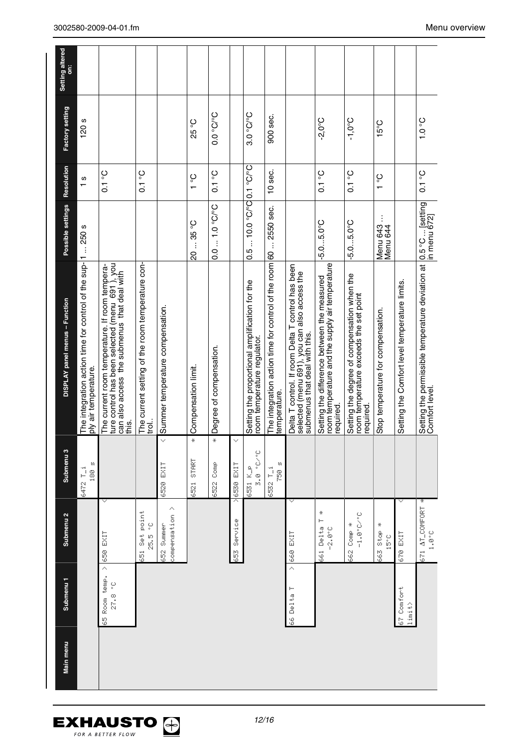| Submenu <sub>2</sub><br>Submenu <sub>1</sub><br>Main menu | Submenu <sub>3</sub>      | DISPLAY panel menus - Function                                                                                                                               | Possible settings           | Resolution        | Factory setting               | Setting altered |
|-----------------------------------------------------------|---------------------------|--------------------------------------------------------------------------------------------------------------------------------------------------------------|-----------------------------|-------------------|-------------------------------|-----------------|
|                                                           | И<br>6472 T_i<br>180      | The integration action time for control of the sup-11  250 s<br>ply air temperature.                                                                         |                             | S<br>$\mathbf{r}$ | 120s                          |                 |
| 650 EXIT<br>Ą<br>65 Room temp.<br>27.8 °C                 | v                         | ture control has been selected (menu  691 ), you<br>can also access  the submenus  that deal with<br>The current room temperature. If room tempera-<br>this. |                             | $0.1^{\circ}$     |                               |                 |
| 651 Set point<br>25.5 °C                                  |                           | The current setting of the room temperature con-<br>ip.i                                                                                                     |                             | $0.1^{\circ}$     |                               |                 |
| compensation ><br>652 Summer                              | 6520 EXIT                 | < Summer temperature compensation.                                                                                                                           |                             |                   |                               |                 |
|                                                           | ¥<br><b>START</b><br>6521 | Compensation limit.                                                                                                                                          | 20  35 °C                   | $\frac{1}{2}$     | 25 °C                         |                 |
|                                                           | ¥<br>5522 Comp            | Degree of compensation.                                                                                                                                      | $0.0 - 1.0$ °C/°C           | $0.1$ °C          | O <sub>0</sub> O <sub>0</sub> |                 |
| Service<br>558                                            | ×<br>6530 EXIT<br>ᄌ       |                                                                                                                                                              |                             |                   |                               |                 |
|                                                           | 3.0° 0.3<br>6531 K_p      | Setting the proportional amplification for the<br>room temperature regulator.                                                                                | $0.510.0$ °C/°C $0.1$ °C/°C |                   | $3.0\degree$ C/ $\degree$ C   |                 |
|                                                           | ņ<br>6532 T_i<br>750      | The integration action time for control of the room 60  2550 sec.<br>temperature.                                                                            |                             | 10 sec.           | 900 sec.                      |                 |
| $>$ 660 EXIT<br>66 Delta T                                | $\checkmark$              | Delta T control. If room Delta T control has been<br>selected (menu 691), you can also access the<br>submenus that deal with this.                           |                             |                   |                               |                 |
| 661 Delta T<br>$-2.0^\circ$ C                             | ÷                         | room temperature and the supply air temperature<br>Setting the difference between the measured<br>required.                                                  | $-5.05.0^{\circ}$ C         | $0.1$ °C          | $-2.0^{\circ}$ C              |                 |
| $-1.0^{\circ}$ C/ $^{\circ}$ C<br>662 Comp *              |                           | Setting the degree of compensation when the<br>room temperature exceeds the set point<br>required.                                                           | $-5.05.0^{\circ}$ C         | $0.1$ °C          | $-1,0^{\circ}C$               |                 |
| ÷<br>663 Stop<br>$15^{\circ}$ C                           |                           | Stop temperature for compensation.                                                                                                                           | Menu 643<br>Menu 644        | $3^{\circ}$       | $15^{\circ}$ C                |                 |
| 670 EXIT<br>67 Comfort<br>limit>                          |                           | Setting the Comfort level temperature limits.                                                                                                                |                             |                   |                               |                 |
| 671 AT_COMFORT *<br>$1$ , $\Theta^*$ C                    |                           | Setting the permissible temperature deviation at  0.5 °C  [setting<br>Comfort level.                                                                         |                             | $0.1\degree$      | $0\degree$ C                  |                 |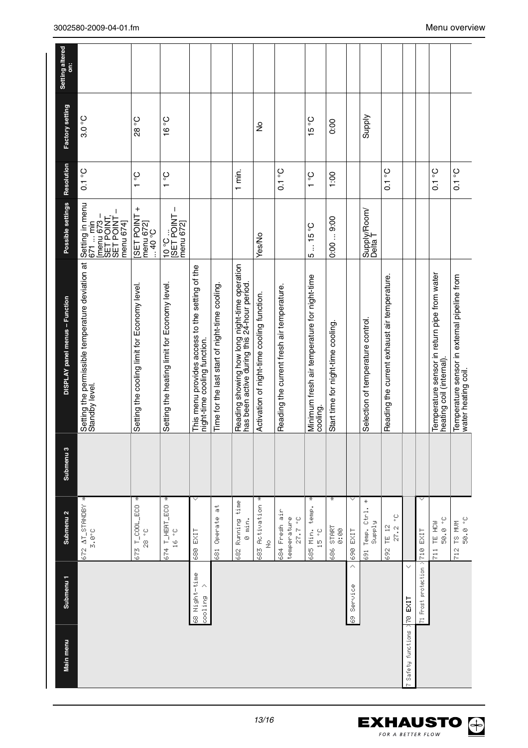| Setting the permissible temperature deviation at<br>Standby level.<br>DISPLAY panel menus - Function<br>Submenu <sub>3</sub> |
|------------------------------------------------------------------------------------------------------------------------------|
|                                                                                                                              |
| Setting the cooling limit for Economy level.                                                                                 |
| Setting the heating limit for Economy level.                                                                                 |
| This menu provides access to the setting of the<br>night-time cooling function.                                              |
| Time for the last start of night-time cooling.                                                                               |
| Reading showing how long night-time operation<br>has been active during this 24-hour period.                                 |
| Activation of night-time cooling function.                                                                                   |
| Reading the current fresh air temperature.                                                                                   |
| Minimum fresh air temperature for night-time<br>cooling.                                                                     |
| Start time for night-time cooling.                                                                                           |
|                                                                                                                              |
| Selection of temperature control                                                                                             |
| Reading the current exhaust air temperature.                                                                                 |
|                                                                                                                              |
|                                                                                                                              |
| Temperature sensor in return pipe from water<br>heating coil (internal).                                                     |
| Temperature sensor in external pipeline from<br>water heating coil.                                                          |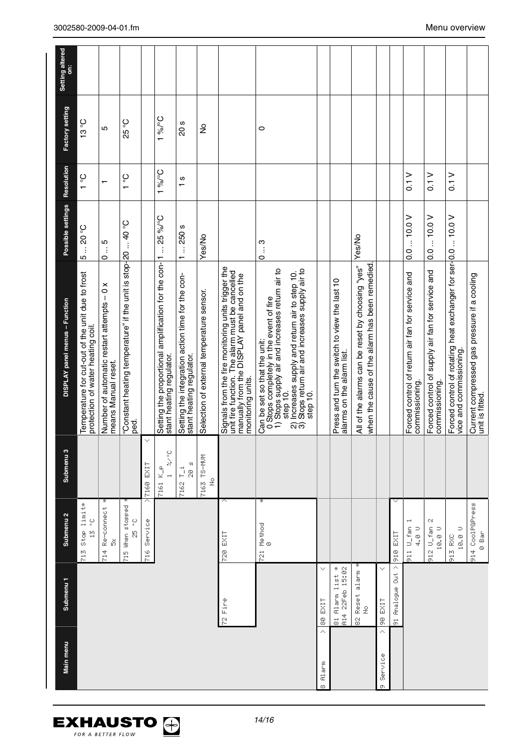| Setting altered<br>ä           |                                                                                      |                                                                   |                                                               |                               |                                                                                  |                                                                              |                                           |                                                                                                                                                                          |                                                                                                                                                                                                                                                           |                                |                                                                           |                                                                                                   |                                |                      |                                                                    |                                                                    |                                                                                           |                                                                 |
|--------------------------------|--------------------------------------------------------------------------------------|-------------------------------------------------------------------|---------------------------------------------------------------|-------------------------------|----------------------------------------------------------------------------------|------------------------------------------------------------------------------|-------------------------------------------|--------------------------------------------------------------------------------------------------------------------------------------------------------------------------|-----------------------------------------------------------------------------------------------------------------------------------------------------------------------------------------------------------------------------------------------------------|--------------------------------|---------------------------------------------------------------------------|---------------------------------------------------------------------------------------------------|--------------------------------|----------------------|--------------------------------------------------------------------|--------------------------------------------------------------------|-------------------------------------------------------------------------------------------|-----------------------------------------------------------------|
| Factory setting                | 13°C                                                                                 | 5                                                                 | 25 °C                                                         |                               | $3o/o$ <sub>1</sub>                                                              | 20s                                                                          | ş                                         |                                                                                                                                                                          | $\circ$                                                                                                                                                                                                                                                   |                                |                                                                           |                                                                                                   |                                |                      |                                                                    |                                                                    |                                                                                           |                                                                 |
| Resolution                     | $\frac{1}{2}$                                                                        | $\mathbf{\tau}$                                                   | $rac{1}{\epsilon}$                                            |                               | $1\%$ <sup>o</sup> C                                                             | ဖ<br>$\overline{ }$                                                          |                                           |                                                                                                                                                                          |                                                                                                                                                                                                                                                           |                                |                                                                           |                                                                                                   |                                |                      | 0.1 <sub>0</sub>                                                   | $\frac{1}{10}$                                                     | $\frac{2}{10}$                                                                            |                                                                 |
| Possible settings              | $5 - 20$ °C                                                                          | Ю<br>$\vdots$<br>O                                                | <b>O</b> ° 0<br>ŧ                                             |                               | $-25\%$ <sup>P</sup> C                                                           | $-250$ s<br>$\overline{ }$                                                   | Yes/No                                    |                                                                                                                                                                          | $0 - 3$                                                                                                                                                                                                                                                   |                                |                                                                           | Yes/No                                                                                            |                                |                      | $-10.0$ V<br>$\overline{0}$ .                                      | 0.010.0V                                                           |                                                                                           |                                                                 |
| DISPLAY panel menus - Function | Temperature for cut-out of the unit due to frost<br>protection of water heating coil | Number of automatic restart attempts - 0 x<br>means Manual reset. | "Constant heating temperature" if the unit is stop-20<br>ped. |                               | Setting the proportional amplification for the con-1<br>stant heating regulator. | Setting the integration action time for the con-<br>stant heating regulator. | Selection of external temperature sensor. | Signals from the fire monitoring units trigger the<br>unit fire function. The alarm must be cancelled<br>manually from the DISPLAY panel and on the<br>monitoring units. | 0 Stops completely in the event of fire<br>1) Stops supply air and increases return air to<br>Increases supply and return air to step 10.<br>Stops return air and increases supply air to<br>Can be set so that the unit:<br>step 10.<br>step 10.<br>ରିଚି |                                | Press and turn the switch to view the last 10<br>alarms on the alarm list | when the cause of the alarm has been remedied<br>All of the alarms can be reset by choosing "yes" |                                |                      | Forced control of return air fan for service and<br>commissioning. | Forced control of supply air fan for service and<br>commissioning. | Forced control of rotating heat exchanger for ser-[0.0  10.0 V<br>vice and commissioning. | Current compressed gas pressure if a cooling<br>unit is fitted. |
| Submenu <sub>3</sub>           |                                                                                      |                                                                   |                                                               | $\checkmark$<br>7160 EXIT     | v.c<br>$\sum_{\mathcal{D}}$<br>7161                                              | и<br>7162 T_i<br>8<br>N                                                      | 7163 TS-MUM<br>$\frac{9}{2}$              |                                                                                                                                                                          |                                                                                                                                                                                                                                                           |                                |                                                                           |                                                                                                   |                                |                      |                                                                    |                                                                    |                                                                                           |                                                                 |
| Submenu <sub>2</sub>           | Stop limit*<br>پ<br>پ<br>$\frac{15}{14}$<br>$\frac{8}{10}$                           | ÷<br>714 Re-connect<br>ŏ                                          | 715 When stopped<br>$25 - 25$                                 | Ä<br>Service<br>$\frac{6}{5}$ |                                                                                  |                                                                              |                                           | ∧<br>720 EXIT                                                                                                                                                            | ¥<br>721 Method<br>0                                                                                                                                                                                                                                      |                                |                                                                           |                                                                                                   |                                | <b>DIG EXIT</b>      | 911 U_fan<br>$\begin{array}{c} 0 \\ 0 \\ 4 \end{array}$            | Ν<br>912 U_fan<br>10.0 V                                           | $10, 0, 0$ V<br>913 RXC                                                                   | 914 CoolPGPress<br>e Bar                                        |
| Submenu <sub>1</sub>           |                                                                                      |                                                                   |                                                               |                               |                                                                                  |                                                                              |                                           | 72 Fire                                                                                                                                                                  |                                                                                                                                                                                                                                                           | $\checkmark$<br><b>BO EXIT</b> | Ť<br>A14 22Feb 15:02<br>81 Alarm list                                     | 82 Reset alarm<br>$\frac{9}{2}$                                                                   | $\checkmark$<br><b>DR EXIT</b> | Δ<br>91 Analogue Out |                                                                    |                                                                    |                                                                                           |                                                                 |
| Main menu                      |                                                                                      |                                                                   |                                                               |                               |                                                                                  |                                                                              |                                           |                                                                                                                                                                          |                                                                                                                                                                                                                                                           | Alarm<br>œ                     |                                                                           |                                                                                                   | ∧<br>Service<br>ው              |                      |                                                                    |                                                                    |                                                                                           |                                                                 |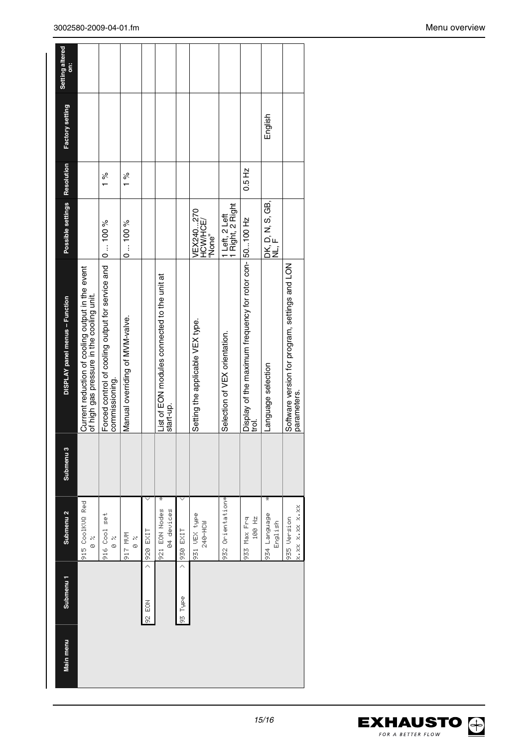| Setting altered<br>ä<br>Factory setting |                                                                                               |                                                                              |                                 |            |                                                           |                 |                                  |                                    |                                                                   | English                      |                                                               |
|-----------------------------------------|-----------------------------------------------------------------------------------------------|------------------------------------------------------------------------------|---------------------------------|------------|-----------------------------------------------------------|-----------------|----------------------------------|------------------------------------|-------------------------------------------------------------------|------------------------------|---------------------------------------------------------------|
|                                         |                                                                                               | $\frac{8}{6}$                                                                | $\frac{5}{6}$                   |            |                                                           |                 |                                  |                                    | 0.5 Hz                                                            |                              |                                                               |
| Possible settings Resolution            |                                                                                               |                                                                              | 0100%                           |            |                                                           |                 | VEX240270<br>HCW/HCE/<br>'None"  | 1 Left, 2 Left<br>1 Right, 2 Right |                                                                   | DK, D, N, S, GB,<br>NL, F    |                                                               |
| DISPLAY panel menus - Function          | Current reduction of cooling output in the event<br>of high gas pressure in the cooling unit. | Forced control of cooling output for service and  0  100 %<br>commissioning. | Manual overriding of MVM-valve. |            | List of EON modules connected to the unit at<br>start-up. |                 | Setting the applicable VEX type. | Selection of VEX orientation.      | Display of the maximum frequency for rotor con- 50100 Hz<br>trol. | Language selection           | Software version for program, settings and LON<br>parameters. |
| Submenu <sub>3</sub>                    |                                                                                               |                                                                              |                                 |            |                                                           |                 |                                  |                                    |                                                                   |                              |                                                               |
| Submenu <sub>2</sub>                    | 915 CoolKUQ Red<br>×<br>©                                                                     | 916 Cool set<br>×<br>©                                                       | M/M LI6<br>X<br>©               | 11X3 6Z6 < | ÷<br>921 EDN Nodes<br>04 devices                          | <b>LIX3 626</b> | 931 UEX type<br>240-HCW          | 932 Orientation*                   | 100 Hz<br>933 Max Fre                                             | ¥<br>934 Language<br>English | $x$ , $xz$ $x$ , $xz$ $xz$ $xz$<br>935 Version                |
| Submenu 1                               |                                                                                               |                                                                              |                                 | 92 EOK     |                                                           | 93 Type         |                                  |                                    |                                                                   |                              |                                                               |
| Main menu                               |                                                                                               |                                                                              |                                 |            |                                                           |                 |                                  |                                    |                                                                   |                              |                                                               |